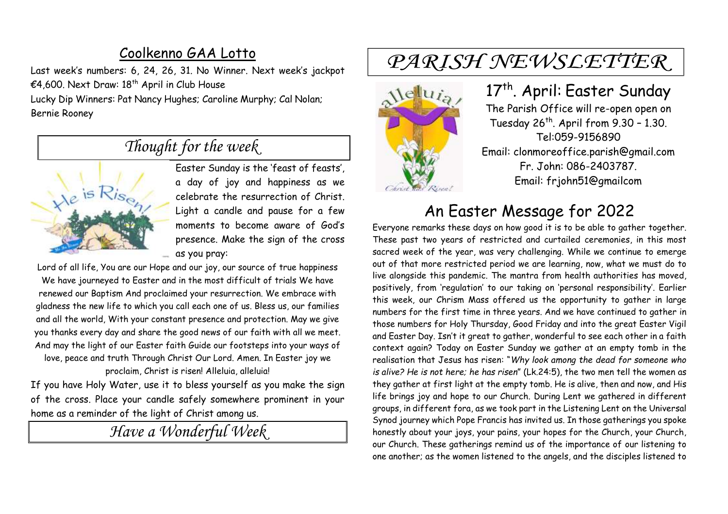### Coolkenno GAA Lotto

Last week's numbers: 6, 24, 26, 31. No Winner. Next week's jackpot €4,600. Next Draw: 18<sup>th</sup> April in Club House

Lucky Dip Winners: Pat Nancy Hughes; Caroline Murphy; Cal Nolan; Bernie Rooney

# *Thought for the week*



Easter Sunday is the 'feast of feasts', a day of joy and happiness as we celebrate the resurrection of Christ. Light a candle and pause for a few moments to become aware of God's presence. Make the sign of the cross as you pray:

Lord of all life, You are our Hope and our joy, our source of true happiness We have journeyed to Easter and in the most difficult of trials We have renewed our Baptism And proclaimed your resurrection. We embrace with gladness the new life to which you call each one of us. Bless us, our families and all the world, With your constant presence and protection. May we give you thanks every day and share the good news of our faith with all we meet. And may the light of our Easter faith Guide our footsteps into your ways of love, peace and truth Through Christ Our Lord. Amen. In Easter joy we proclaim, Christ is risen! Alleluia, alleluia!

If you have Holy Water, use it to bless yourself as you make the sign of the cross. Place your candle safely somewhere prominent in your home as a reminder of the light of Christ among us.

*Have a Wonderful Week* 

# PARISH NEWSLETTER



#### 17<sup>th</sup>. April: Easter Sunday The Parish Office will re-open open on Tuesday  $26^{th}$ . April from  $9.30 - 1.30$ . Tel:059-9156890 Email: clonmoreoffice.parish@gmail.com Fr. John: 086-2403787. Email: frjohn51@gmailcom

# An Easter Message for 2022

Everyone remarks these days on how good it is to be able to gather together. These past two years of restricted and curtailed ceremonies, in this most sacred week of the year, was very challenging. While we continue to emerge out of that more restricted period we are learning, now, what we must do to live alongside this pandemic. The mantra from health authorities has moved, positively, from 'regulation' to our taking on 'personal responsibility'. Earlier this week, our Chrism Mass offered us the opportunity to gather in large numbers for the first time in three years. And we have continued to gather in those numbers for Holy Thursday, Good Friday and into the great Easter Vigil and Easter Day. Isn't it great to gather, wonderful to see each other in a faith context again? Today on Easter Sunday we gather at an empty tomb in the realisation that Jesus has risen: "*Why look among the dead for someone who is alive? He is not here; he has risen*" (Lk.24:5), the two men tell the women as they gather at first light at the empty tomb. He is alive, then and now, and His life brings joy and hope to our Church. During Lent we gathered in different groups, in different fora, as we took part in the Listening Lent on the Universal Synod journey which Pope Francis has invited us. In those gatherings you spoke honestly about your joys, your pains, your hopes for the Church, your Church, our Church. These gatherings remind us of the importance of our listening to one another; as the women listened to the angels, and the disciples listened to